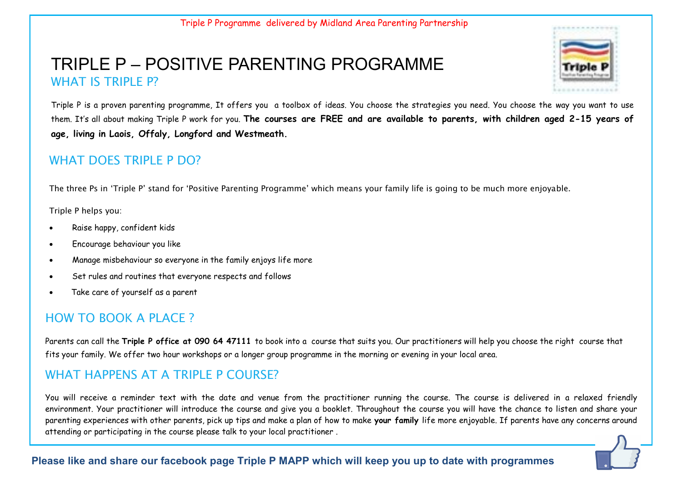# TRIPLE P – POSITIVE PARENTING PROGRAMME WHAT IS TRIPLE P?



Triple P is a proven parenting programme, It offers you a toolbox of ideas. You choose the strategies you need. You choose the way you want to use them. It's all about making Triple P work for you. **The courses are FREE and are available to parents, with children aged 2-15 years of age, living in Laois, Offaly, Longford and Westmeath.** 

### WHAT DOES TRIPLE P DO?

The three Ps in 'Triple P' stand for 'Positive Parenting Programme' which means your family life is going to be much more enjoyable.

Triple P helps you:

- Raise happy, confident kids
- Encourage behaviour you like
- Manage misbehaviour so everyone in the family enjoys life more
- Set rules and routines that everyone respects and follows
- Take care of yourself as a parent

## HOW TO BOOK A PLACE?

Parents can call the **Triple P office at 090 64 47111** to book into a course that suits you. Our practitioners will help you choose the right course that fits your family. We offer two hour workshops or a longer group programme in the morning or evening in your local area.

## WHAT HAPPENS AT A TRIPLE P COURSE?

You will receive a reminder text with the date and venue from the practitioner running the course. The course is delivered in a relaxed friendly environment. Your practitioner will introduce the course and give you a booklet. Throughout the course you will have the chance to listen and share your parenting experiences with other parents, pick up tips and make a plan of how to make **your family** life more enjoyable. If parents have any concerns around attending or participating in the course please talk to your local practitioner .

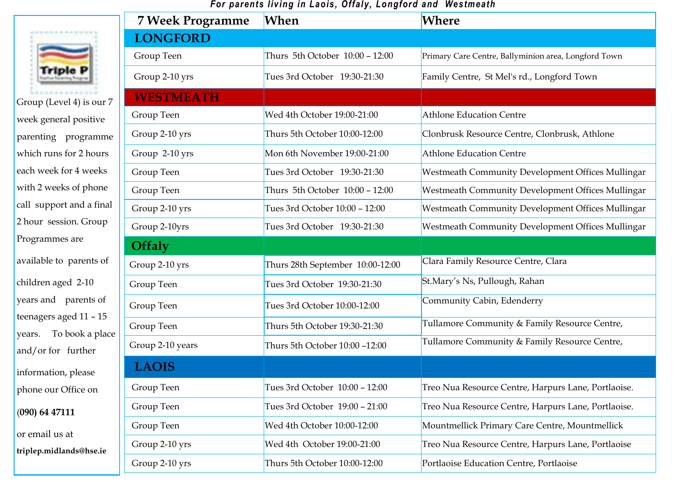#### *For parents living in Laois, Offaly, Longford and Westmeath*



Group (Level 4) is our 7 week general positive parenting programme which runs for 2 hours each week for 4 weeks with 2 weeks of phone call support and a final 2 hour session. Group Programmes are available to parents of children aged 2-10 years and parents of teenagers aged 11 – 15 years. To book a place and/or for further

information, please phone our Office on

(**090) 64 47111** 

or email us at

**triplep.midlands@hse.ie**

| <b>7 Week Programme</b> | When                             | <b>Where</b>                                         |
|-------------------------|----------------------------------|------------------------------------------------------|
| <b>LONGFORD</b>         |                                  |                                                      |
| Group Teen              | Thurs 5th October 10:00 - 12:00  | Primary Care Centre, Ballyminion area, Longford Town |
| Group 2-10 yrs          | Tues 3rd October 19:30-21:30     | Family Centre, St Mel's rd., Longford Town           |
| <b>WESTMEATH</b>        |                                  |                                                      |
| Group Teen              | Wed 4th October 19:00-21:00      | <b>Athlone Education Centre</b>                      |
| Group 2-10 yrs          | Thurs 5th October 10:00-12:00    | Clonbrusk Resource Centre, Clonbrusk, Athlone        |
| Group 2-10 yrs          | Mon 6th November 19:00-21:00     | <b>Athlone Education Centre</b>                      |
| Group Teen              | Tues 3rd October 19:30-21:30     | Westmeath Community Development Offices Mullingar    |
| Group Teen              | Thurs 5th October 10:00 - 12:00  | Westmeath Community Development Offices Mullingar    |
| Group 2-10 yrs          | Tues 3rd October 10:00 - 12:00   | Westmeath Community Development Offices Mullingar    |
| Group 2-10yrs           | Tues 3rd October 19:30-21:30     | Westmeath Community Development Offices Mullingar    |
| <b>Offaly</b>           |                                  |                                                      |
| Group 2-10 yrs          | Thurs 28th September 10:00-12:00 | Clara Family Resource Centre, Clara                  |
| Group Teen              | Tues 3rd October 19:30-21:30     | St.Mary's Ns, Pullough, Rahan                        |
| Group Teen              | Tues 3rd October 10:00-12:00     | Community Cabin, Edenderry                           |
| Group Teen              | Thurs 5th October 19:30-21:30    | Tullamore Community & Family Resource Centre,        |
| Group 2-10 years        | Thurs 5th October 10:00 -12:00   | Tullamore Community & Family Resource Centre,        |
| <b>LAOIS</b>            |                                  |                                                      |
| Group Teen              | Tues 3rd October 10:00 - 12:00   | Treo Nua Resource Centre, Harpurs Lane, Portlaoise.  |
| Group Teen              | Tues 3rd October 19:00 - 21:00   | Treo Nua Resource Centre, Harpurs Lane, Portlaoise.  |
| Group Teen              | Wed 4th October 10:00-12:00      | Mountmellick Primary Care Centre, Mountmellick       |
| Group 2-10 yrs          | Wed 4th October 19:00-21:00      | Treo Nua Resource Centre, Harpurs Lane, Portlaoise   |
| Group 2-10 yrs          | Thurs 5th October 10:00-12:00    | Portlaoise Education Centre, Portlaoise              |